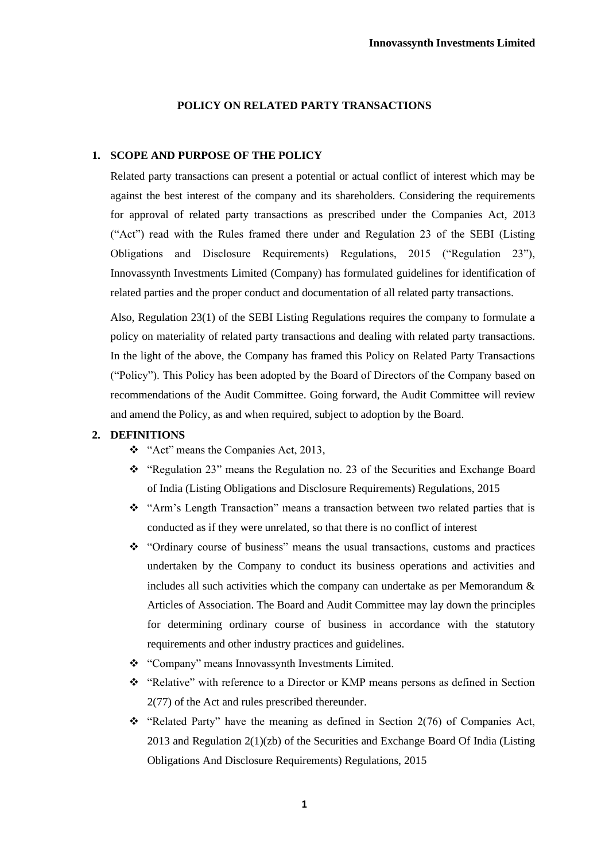## **POLICY ON RELATED PARTY TRANSACTIONS**

#### **1. SCOPE AND PURPOSE OF THE POLICY**

Related party transactions can present a potential or actual conflict of interest which may be against the best interest of the company and its shareholders. Considering the requirements for approval of related party transactions as prescribed under the Companies Act, 2013 ("Act") read with the Rules framed there under and Regulation 23 of the SEBI (Listing Obligations and Disclosure Requirements) Regulations, 2015 ("Regulation 23"), Innovassynth Investments Limited (Company) has formulated guidelines for identification of related parties and the proper conduct and documentation of all related party transactions.

Also, Regulation 23(1) of the SEBI Listing Regulations requires the company to formulate a policy on materiality of related party transactions and dealing with related party transactions. In the light of the above, the Company has framed this Policy on Related Party Transactions ("Policy"). This Policy has been adopted by the Board of Directors of the Company based on recommendations of the Audit Committee. Going forward, the Audit Committee will review and amend the Policy, as and when required, subject to adoption by the Board.

#### **2. DEFINITIONS**

- ❖ "Act" means the Companies Act, 2013,
- ❖ "Regulation 23" means the Regulation no. 23 of the Securities and Exchange Board of India (Listing Obligations and Disclosure Requirements) Regulations, 2015
- ❖ "Arm's Length Transaction" means a transaction between two related parties that is conducted as if they were unrelated, so that there is no conflict of interest
- ❖ "Ordinary course of business" means the usual transactions, customs and practices undertaken by the Company to conduct its business operations and activities and includes all such activities which the company can undertake as per Memorandum  $\&$ Articles of Association. The Board and Audit Committee may lay down the principles for determining ordinary course of business in accordance with the statutory requirements and other industry practices and guidelines.
- ❖ "Company" means Innovassynth Investments Limited.
- ❖ "Relative" with reference to a Director or KMP means persons as defined in Section 2(77) of the Act and rules prescribed thereunder.
- ❖ "Related Party" have the meaning as defined in Section 2(76) of Companies Act,  $2013$  and Regulation  $2(1)(zb)$  of the Securities and Exchange Board Of India (Listing Obligations And Disclosure Requirements) Regulations, 2015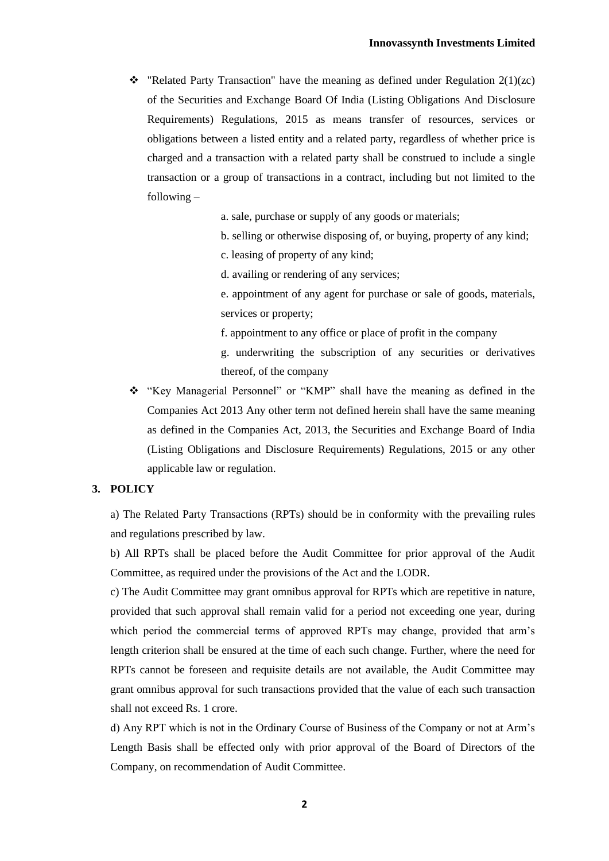❖ "Related Party Transaction" have the meaning as defined under Regulation 2(1)(zc) of the Securities and Exchange Board Of India (Listing Obligations And Disclosure Requirements) Regulations, 2015 as means transfer of resources, services or obligations between a listed entity and a related party, regardless of whether price is charged and a transaction with a related party shall be construed to include a single transaction or a group of transactions in a contract, including but not limited to the following –

a. sale, purchase or supply of any goods or materials;

- b. selling or otherwise disposing of, or buying, property of any kind;
- c. leasing of property of any kind;
- d. availing or rendering of any services;

e. appointment of any agent for purchase or sale of goods, materials, services or property;

- f. appointment to any office or place of profit in the company
- g. underwriting the subscription of any securities or derivatives thereof, of the company
- ❖ "Key Managerial Personnel" or "KMP" shall have the meaning as defined in the Companies Act 2013 Any other term not defined herein shall have the same meaning as defined in the Companies Act, 2013, the Securities and Exchange Board of India (Listing Obligations and Disclosure Requirements) Regulations, 2015 or any other applicable law or regulation.

# **3. POLICY**

a) The Related Party Transactions (RPTs) should be in conformity with the prevailing rules and regulations prescribed by law.

b) All RPTs shall be placed before the Audit Committee for prior approval of the Audit Committee, as required under the provisions of the Act and the LODR.

c) The Audit Committee may grant omnibus approval for RPTs which are repetitive in nature, provided that such approval shall remain valid for a period not exceeding one year, during which period the commercial terms of approved RPTs may change, provided that arm's length criterion shall be ensured at the time of each such change. Further, where the need for RPTs cannot be foreseen and requisite details are not available, the Audit Committee may grant omnibus approval for such transactions provided that the value of each such transaction shall not exceed Rs. 1 crore.

d) Any RPT which is not in the Ordinary Course of Business of the Company or not at Arm's Length Basis shall be effected only with prior approval of the Board of Directors of the Company, on recommendation of Audit Committee.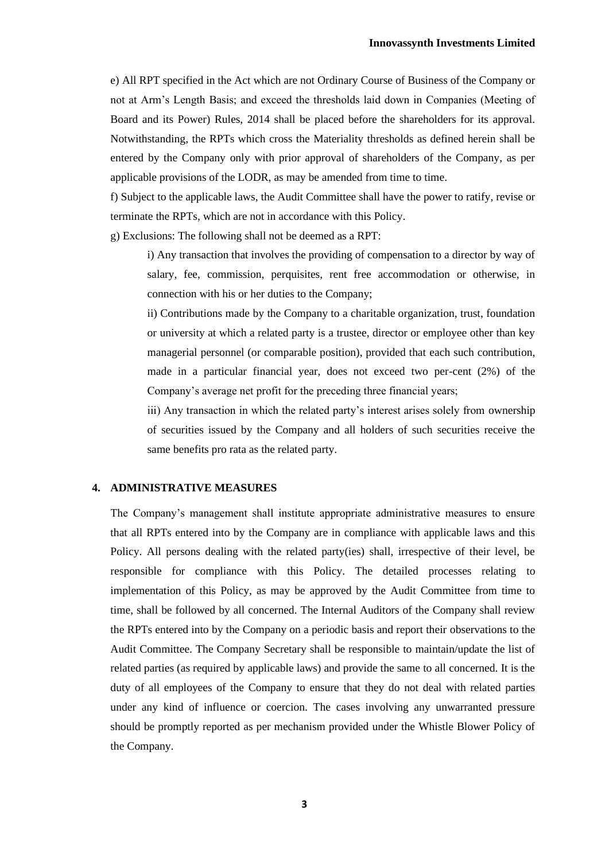e) All RPT specified in the Act which are not Ordinary Course of Business of the Company or not at Arm's Length Basis; and exceed the thresholds laid down in Companies (Meeting of Board and its Power) Rules, 2014 shall be placed before the shareholders for its approval. Notwithstanding, the RPTs which cross the Materiality thresholds as defined herein shall be entered by the Company only with prior approval of shareholders of the Company, as per applicable provisions of the LODR, as may be amended from time to time.

f) Subject to the applicable laws, the Audit Committee shall have the power to ratify, revise or terminate the RPTs, which are not in accordance with this Policy.

g) Exclusions: The following shall not be deemed as a RPT:

i) Any transaction that involves the providing of compensation to a director by way of salary, fee, commission, perquisites, rent free accommodation or otherwise, in connection with his or her duties to the Company;

ii) Contributions made by the Company to a charitable organization, trust, foundation or university at which a related party is a trustee, director or employee other than key managerial personnel (or comparable position), provided that each such contribution, made in a particular financial year, does not exceed two per-cent (2%) of the Company's average net profit for the preceding three financial years;

iii) Any transaction in which the related party's interest arises solely from ownership of securities issued by the Company and all holders of such securities receive the same benefits pro rata as the related party.

### **4. ADMINISTRATIVE MEASURES**

The Company's management shall institute appropriate administrative measures to ensure that all RPTs entered into by the Company are in compliance with applicable laws and this Policy. All persons dealing with the related party(ies) shall, irrespective of their level, be responsible for compliance with this Policy. The detailed processes relating to implementation of this Policy, as may be approved by the Audit Committee from time to time, shall be followed by all concerned. The Internal Auditors of the Company shall review the RPTs entered into by the Company on a periodic basis and report their observations to the Audit Committee. The Company Secretary shall be responsible to maintain/update the list of related parties (as required by applicable laws) and provide the same to all concerned. It is the duty of all employees of the Company to ensure that they do not deal with related parties under any kind of influence or coercion. The cases involving any unwarranted pressure should be promptly reported as per mechanism provided under the Whistle Blower Policy of the Company.